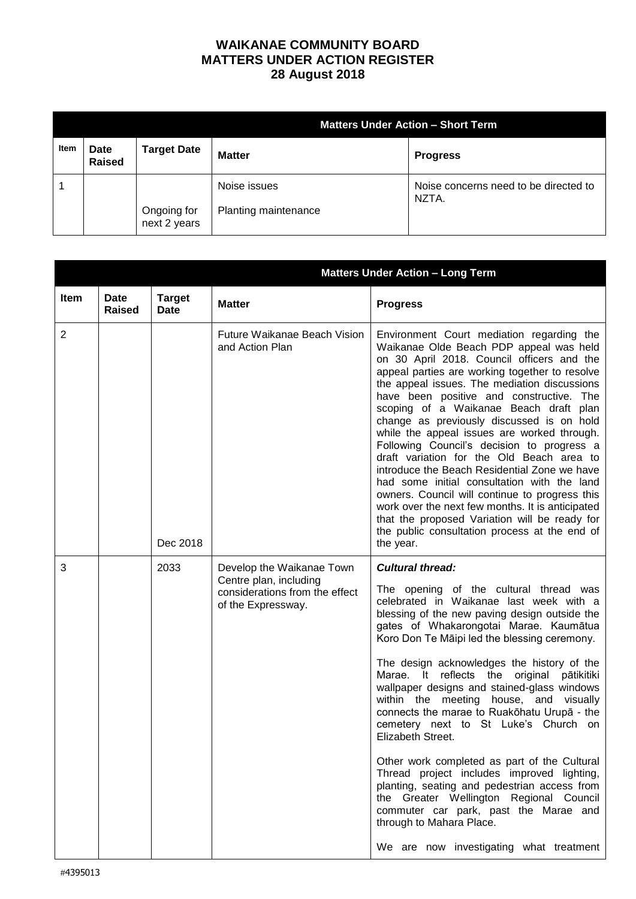## **WAIKANAE COMMUNITY BOARD MATTERS UNDER ACTION REGISTER 28 August 2018**

|      |                              |                             | <b>Matters Under Action - Short Term</b> |                                                |  |
|------|------------------------------|-----------------------------|------------------------------------------|------------------------------------------------|--|
| Item | <b>Date</b><br><b>Raised</b> | <b>Target Date</b>          | <b>Matter</b>                            | <b>Progress</b>                                |  |
|      |                              | Ongoing for<br>next 2 years | Noise issues<br>Planting maintenance     | Noise concerns need to be directed to<br>NZTA. |  |

|      | <b>Matters Under Action - Long Term</b> |                       |                                                                                                             |                                                                                                                                                                                                                                                                                                                                                                                                                                                                                                                                                                                                                                                                                                                                                                                                                                                                   |
|------|-----------------------------------------|-----------------------|-------------------------------------------------------------------------------------------------------------|-------------------------------------------------------------------------------------------------------------------------------------------------------------------------------------------------------------------------------------------------------------------------------------------------------------------------------------------------------------------------------------------------------------------------------------------------------------------------------------------------------------------------------------------------------------------------------------------------------------------------------------------------------------------------------------------------------------------------------------------------------------------------------------------------------------------------------------------------------------------|
| Item | <b>Date</b><br><b>Raised</b>            | <b>Target</b><br>Date | <b>Matter</b>                                                                                               | <b>Progress</b>                                                                                                                                                                                                                                                                                                                                                                                                                                                                                                                                                                                                                                                                                                                                                                                                                                                   |
| 2    |                                         | Dec 2018              | Future Waikanae Beach Vision<br>and Action Plan                                                             | Environment Court mediation regarding the<br>Waikanae Olde Beach PDP appeal was held<br>on 30 April 2018. Council officers and the<br>appeal parties are working together to resolve<br>the appeal issues. The mediation discussions<br>have been positive and constructive. The<br>scoping of a Waikanae Beach draft plan<br>change as previously discussed is on hold<br>while the appeal issues are worked through.<br>Following Council's decision to progress a<br>draft variation for the Old Beach area to<br>introduce the Beach Residential Zone we have<br>had some initial consultation with the land<br>owners. Council will continue to progress this<br>work over the next few months. It is anticipated<br>that the proposed Variation will be ready for<br>the public consultation process at the end of<br>the year.                             |
| 3    |                                         | 2033                  | Develop the Waikanae Town<br>Centre plan, including<br>considerations from the effect<br>of the Expressway. | <b>Cultural thread:</b><br>The opening of the cultural thread was<br>celebrated in Waikanae last week with a<br>blessing of the new paving design outside the<br>gates of Whakarongotai Marae. Kaumātua<br>Koro Don Te Māipi led the blessing ceremony.<br>The design acknowledges the history of the<br>Marae. It reflects the original pātikitiki<br>wallpaper designs and stained-glass windows<br>within the meeting house, and visually<br>connects the marae to Ruakōhatu Urupā - the<br>cemetery next to St Luke's Church on<br>Elizabeth Street.<br>Other work completed as part of the Cultural<br>Thread project includes improved lighting,<br>planting, seating and pedestrian access from<br>the Greater Wellington Regional Council<br>commuter car park, past the Marae and<br>through to Mahara Place.<br>We are now investigating what treatment |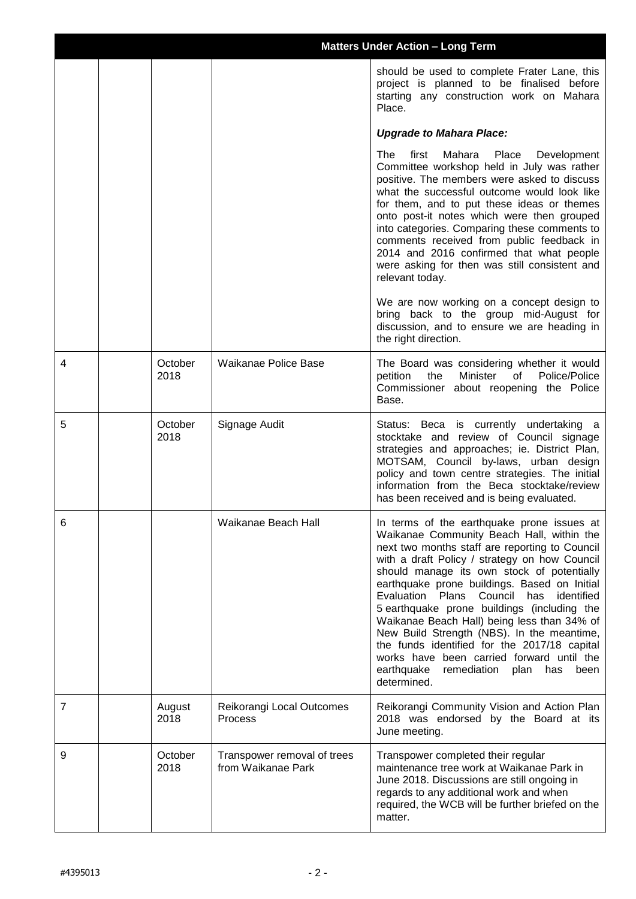|   |                 | <b>Matters Under Action - Long Term</b>           |                                                                                                                                                                                                                                                                                                                                                                                                                                                                                                                                                                                                                                                          |
|---|-----------------|---------------------------------------------------|----------------------------------------------------------------------------------------------------------------------------------------------------------------------------------------------------------------------------------------------------------------------------------------------------------------------------------------------------------------------------------------------------------------------------------------------------------------------------------------------------------------------------------------------------------------------------------------------------------------------------------------------------------|
|   |                 |                                                   | should be used to complete Frater Lane, this<br>project is planned to be finalised before<br>starting any construction work on Mahara<br>Place.                                                                                                                                                                                                                                                                                                                                                                                                                                                                                                          |
|   |                 |                                                   | <b>Upgrade to Mahara Place:</b>                                                                                                                                                                                                                                                                                                                                                                                                                                                                                                                                                                                                                          |
|   |                 |                                                   | The<br>first<br>Mahara<br>Place<br>Development<br>Committee workshop held in July was rather<br>positive. The members were asked to discuss<br>what the successful outcome would look like<br>for them, and to put these ideas or themes<br>onto post-it notes which were then grouped<br>into categories. Comparing these comments to<br>comments received from public feedback in<br>2014 and 2016 confirmed that what people<br>were asking for then was still consistent and<br>relevant today.                                                                                                                                                      |
|   |                 |                                                   | We are now working on a concept design to<br>bring back to the group mid-August for<br>discussion, and to ensure we are heading in<br>the right direction.                                                                                                                                                                                                                                                                                                                                                                                                                                                                                               |
| 4 | October<br>2018 | Waikanae Police Base                              | The Board was considering whether it would<br>Minister<br>of<br>Police/Police<br>petition<br>the<br>Commissioner about reopening the Police<br>Base.                                                                                                                                                                                                                                                                                                                                                                                                                                                                                                     |
| 5 | October<br>2018 | Signage Audit                                     | Status: Beca is currently undertaking a<br>stocktake and review of Council signage<br>strategies and approaches; ie. District Plan,<br>MOTSAM, Council by-laws, urban design<br>policy and town centre strategies. The initial<br>information from the Beca stocktake/review<br>has been received and is being evaluated.                                                                                                                                                                                                                                                                                                                                |
| 6 |                 | Waikanae Beach Hall                               | In terms of the earthquake prone issues at<br>Waikanae Community Beach Hall, within the<br>next two months staff are reporting to Council<br>with a draft Policy / strategy on how Council<br>should manage its own stock of potentially<br>earthquake prone buildings. Based on Initial<br>Evaluation<br>Plans<br>Council has<br>identified<br>5 earthquake prone buildings (including the<br>Waikanae Beach Hall) being less than 34% of<br>New Build Strength (NBS). In the meantime,<br>the funds identified for the 2017/18 capital<br>works have been carried forward until the<br>earthquake<br>remediation<br>plan<br>has<br>been<br>determined. |
| 7 | August<br>2018  | Reikorangi Local Outcomes<br><b>Process</b>       | Reikorangi Community Vision and Action Plan<br>2018 was endorsed by the Board at its<br>June meeting.                                                                                                                                                                                                                                                                                                                                                                                                                                                                                                                                                    |
| 9 | October<br>2018 | Transpower removal of trees<br>from Waikanae Park | Transpower completed their regular<br>maintenance tree work at Waikanae Park in<br>June 2018. Discussions are still ongoing in<br>regards to any additional work and when<br>required, the WCB will be further briefed on the<br>matter.                                                                                                                                                                                                                                                                                                                                                                                                                 |